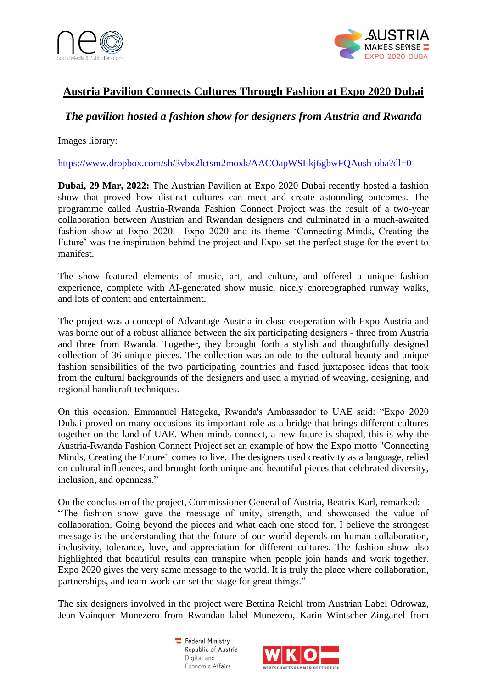



## **Austria Pavilion Connects Cultures Through Fashion at Expo 2020 Dubai**

## *The pavilion hosted a fashion show for designers from Austria and Rwanda*

Images library:

<https://www.dropbox.com/sh/3vbx2lctsm2moxk/AACOapWSLkj6gbwFQAush-oba?dl=0>

**Dubai, 29 Mar, 2022:** The Austrian Pavilion at Expo 2020 Dubai recently hosted a fashion show that proved how distinct cultures can meet and create astounding outcomes. The programme called Austria-Rwanda Fashion Connect Project was the result of a two-year collaboration between Austrian and Rwandan designers and culminated in a much-awaited fashion show at Expo 2020. Expo 2020 and its theme 'Connecting Minds, Creating the Future' was the inspiration behind the project and Expo set the perfect stage for the event to manifest.

The show featured elements of music, art, and culture, and offered a unique fashion experience, complete with AI-generated show music, nicely choreographed runway walks, and lots of content and entertainment.

The project was a concept of Advantage Austria in close cooperation with Expo Austria and was borne out of a robust alliance between the six participating designers - three from Austria and three from Rwanda. Together, they brought forth a stylish and thoughtfully designed collection of 36 unique pieces. The collection was an ode to the cultural beauty and unique fashion sensibilities of the two participating countries and fused juxtaposed ideas that took from the cultural backgrounds of the designers and used a myriad of weaving, designing, and regional handicraft techniques.

On this occasion, Emmanuel Hategeka, Rwanda's Ambassador to UAE said: "Expo 2020 Dubai proved on many occasions its important role as a bridge that brings different cultures together on the land of UAE. When minds connect, a new future is shaped, this is why the Austria-Rwanda Fashion Connect Project set an example of how the Expo motto "Connecting Minds, Creating the Future" comes to live. The designers used creativity as a language, relied on cultural influences, and brought forth unique and beautiful pieces that celebrated diversity, inclusion, and openness."

On the conclusion of the project, Commissioner General of Austria, Beatrix Karl, remarked: "The fashion show gave the message of unity, strength, and showcased the value of collaboration. Going beyond the pieces and what each one stood for, I believe the strongest message is the understanding that the future of our world depends on human collaboration, inclusivity, tolerance, love, and appreciation for different cultures. The fashion show also highlighted that beautiful results can transpire when people join hands and work together. Expo 2020 gives the very same message to the world. It is truly the place where collaboration, partnerships, and team-work can set the stage for great things."

The six designers involved in the project were Bettina Reichl from Austrian Label Odrowaz, Jean-Vainquer Munezero from Rwandan label Munezero, Karin Wintscher-Zinganel from